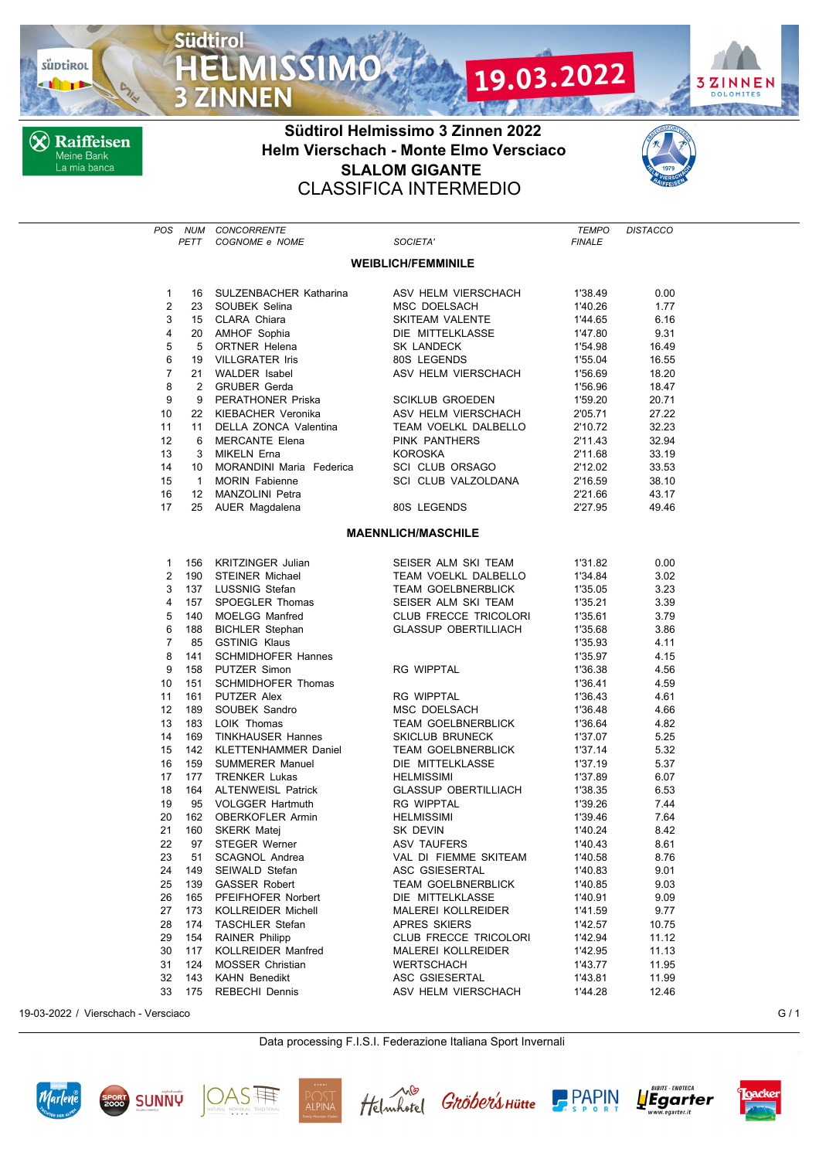

**X** Raiffeisen Meine Bank<br>La mia banca

**Südtirol** 

**3 ZINNEN** 



## **Südtirol Helmissimo 3 Zinnen 2022 Helm Vierschach - Monte Elmo Versciaco SLALOM GIGANTE** CLASSIFICA INTERMEDIO



| POS                       | PETT         | NUM CONCORRENTE<br>COGNOME e NOME       | SOCIETA'                                     | <b>TEMPO</b><br><b>FINALE</b> | <b>DISTACCO</b> |  |
|---------------------------|--------------|-----------------------------------------|----------------------------------------------|-------------------------------|-----------------|--|
|                           |              |                                         |                                              |                               |                 |  |
| <b>WEIBLICH/FEMMINILE</b> |              |                                         |                                              |                               |                 |  |
| $\mathbf{1}$              | 16           | SULZENBACHER Katharina                  | ASV HELM VIERSCHACH                          | 1'38.49                       | 0.00            |  |
| 2                         |              | 23 SOUBEK Selina                        | MSC DOELSACH                                 | 1'40.26                       | 1.77            |  |
| 3                         |              | 15 CLARA Chiara                         | SKITEAM VALENTE                              | 1'44.65                       | 6.16            |  |
| 4                         |              | 20 AMHOF Sophia                         | DIE MITTELKLASSE                             | 1'47.80                       | 9.31            |  |
| 5                         |              | 5 ORTNER Helena                         | SK LANDECK                                   | 1'54.98                       | 16.49           |  |
| 6                         | 19           | <b>VILLGRATER Iris</b>                  | 80S LEGENDS                                  | 1'55.04                       | 16.55           |  |
| $\overline{7}$            |              | 21 WALDER Isabel                        | ASV HELM VIERSCHACH                          | 1'56.69                       | 18.20           |  |
| 8                         | $\mathbf{2}$ | <b>GRUBER Gerda</b>                     |                                              | 1'56.96                       | 18.47           |  |
| 9                         | 9            | PERATHONER Priska                       | <b>SCIKLUB GROEDEN</b>                       | 1'59.20                       | 20.71           |  |
| 10                        |              | 22 KIEBACHER Veronika                   | ASV HELM VIERSCHACH                          | 2'05.71                       | 27.22           |  |
| 11                        | 11           | DELLA ZONCA Valentina                   | TEAM VOELKL DALBELLO                         | 2'10.72                       | 32.23           |  |
| 12                        | 6            | MERCANTE Elena                          | PINK PANTHERS                                | 2'11.43                       | 32.94           |  |
| 13                        | 3            | MIKELN Erna                             | <b>KOROSKA</b>                               | 2'11.68                       | 33.19           |  |
| 14                        | 10           | MORANDINI Maria Federica                | SCI CLUB ORSAGO                              | 2'12.02                       | 33.53           |  |
| 15                        | $\mathbf{1}$ | <b>MORIN Fabienne</b>                   | SCI CLUB VALZOLDANA                          | 2'16.59                       | 38.10           |  |
| 16                        |              | 12 MANZOLINI Petra                      |                                              | 2'21.66                       | 43.17           |  |
| 17                        |              | 25 AUER Magdalena                       | 80S LEGENDS                                  | 2'27.95                       | 49.46           |  |
|                           |              |                                         | <b>MAENNLICH/MASCHILE</b>                    |                               |                 |  |
|                           |              |                                         |                                              |                               |                 |  |
| $\mathbf{1}$              |              | 156 KRITZINGER Julian                   | SEISER ALM SKI TEAM                          | 1'31.82                       | 0.00            |  |
| $\overline{2}$            | 190          | <b>STEINER Michael</b>                  | TEAM VOELKL DALBELLO                         | 1'34.84                       | 3.02            |  |
| 3                         | 137          | LUSSNIG Stefan                          | <b>TEAM GOELBNERBLICK</b>                    | 1'35.05                       | 3.23            |  |
| 4                         | 157          | SPOEGLER Thomas                         | SEISER ALM SKI TEAM                          | 1'35.21                       | 3.39            |  |
| 5                         | 140          | <b>MOELGG Manfred</b>                   | CLUB FRECCE TRICOLORI                        | 1'35.61                       | 3.79            |  |
| 6                         | 188          | <b>BICHLER Stephan</b>                  | <b>GLASSUP OBERTILLIACH</b>                  | 1'35.68                       | 3.86            |  |
| $\overline{7}$            | 85           | <b>GSTINIG Klaus</b>                    |                                              | 1'35.93                       | 4.11            |  |
| 8                         | 141          | <b>SCHMIDHOFER Hannes</b>               |                                              | 1'35.97                       | 4.15            |  |
| 9                         | 158          | PUTZER Simon                            | RG WIPPTAL                                   | 1'36.38                       | 4.56            |  |
| 10                        | 151          | <b>SCHMIDHOFER Thomas</b>               |                                              | 1'36.41                       | 4.59            |  |
| 11                        | 161          | PUTZER Alex                             | RG WIPPTAL                                   | 1'36.43                       | 4.61            |  |
| 12<br>13                  | 189          | SOUBEK Sandro                           | MSC DOELSACH                                 | 1'36.48                       | 4.66            |  |
| 14                        | 183<br>169   | LOIK Thomas<br><b>TINKHAUSER Hannes</b> | <b>TEAM GOELBNERBLICK</b><br>SKICLUB BRUNECK | 1'36.64<br>1'37.07            | 4.82<br>5.25    |  |
| 15                        | 142          | <b>KLETTENHAMMER Daniel</b>             | <b>TEAM GOELBNERBLICK</b>                    | 1'37.14                       | 5.32            |  |
| 16                        | 159          | <b>SUMMERER Manuel</b>                  | DIE MITTELKLASSE                             | 1'37.19                       | 5.37            |  |
| 17                        | 177          | <b>TRENKER Lukas</b>                    | <b>HELMISSIMI</b>                            | 1'37.89                       | 6.07            |  |
| 18                        | 164          | <b>ALTENWEISL Patrick</b>               | <b>GLASSUP OBERTILLIACH</b>                  | 1'38.35                       | 6.53            |  |
| 19                        | 95           | <b>VOLGGER Hartmuth</b>                 | <b>RG WIPPTAL</b>                            | 1'39.26                       | 7.44            |  |
| 20                        |              | 162 OBERKOFLER Armin                    | <b>HELMISSIMI</b>                            | 1'39.46                       | 7.64            |  |
| 21                        | 160          | SKERK Matej                             | SK DEVIN                                     | 1'40.24                       | 8.42            |  |
|                           |              | 22 97 STEGER Werner                     | ASV TAUFERS                                  | 1'40.43                       | 8.61            |  |
| 23                        | 51           | SCAGNOL Andrea                          | VAL DI FIEMME SKITEAM                        | 1'40.58                       | 8.76            |  |
| 24                        | 149          | SEIWALD Stefan                          | ASC GSIESERTAL                               | 1'40.83                       | 9.01            |  |
| 25                        | 139          | <b>GASSER Robert</b>                    | <b>TEAM GOELBNERBLICK</b>                    | 1'40.85                       | 9.03            |  |
| 26                        | 165          | PFEIFHOFER Norbert                      | DIE MITTELKLASSE                             | 1'40.91                       | 9.09            |  |
| 27                        | 173          | <b>KOLLREIDER Michell</b>               | <b>MALEREI KOLLREIDER</b>                    | 1'41.59                       | 9.77            |  |
| 28                        | 174          | <b>TASCHLER Stefan</b>                  | APRES SKIERS                                 | 1'42.57                       | 10.75           |  |
| 29                        | 154          | <b>RAINER Philipp</b>                   | CLUB FRECCE TRICOLORI                        | 1'42.94                       | 11.12           |  |
| 30                        | 117          | KOLLREIDER Manfred                      | <b>MALEREI KOLLREIDER</b>                    | 1'42.95                       | 11.13           |  |
| 31                        | 124          | <b>MOSSER Christian</b>                 | <b>WERTSCHACH</b>                            | 1'43.77                       | 11.95           |  |
| 32                        | 143          | <b>KAHN Benedikt</b>                    | ASC GSIESERTAL                               | 1'43.81                       | 11.99           |  |
| 33                        | 175          | <b>REBECHI Dennis</b>                   | ASV HELM VIERSCHACH                          | 1'44.28                       | 12.46           |  |

19-03-2022 / Vierschach - Versciaco G / 1

## Data processing F.I.S.I. Federazione Italiana Sport Invernali













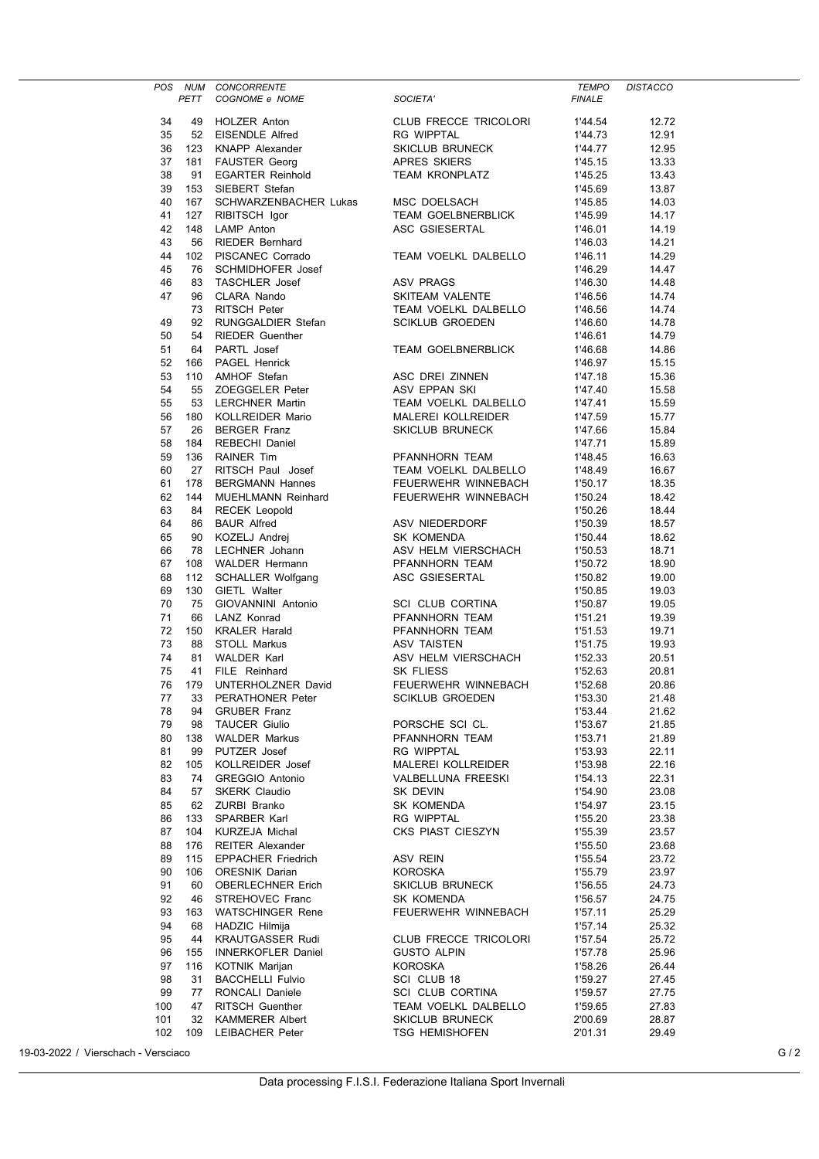|     |      | CONCORRENTE<br>COGNOME e NOME<br>POS NUM CONCORRENTE            |                                                                                                      | <b>TEMPO</b>  | <b>DISTACCO</b> |  |
|-----|------|-----------------------------------------------------------------|------------------------------------------------------------------------------------------------------|---------------|-----------------|--|
|     | PETT |                                                                 | SOCIETA'                                                                                             | <b>FINALE</b> |                 |  |
| 34  | 49   | HOLZER Anton                                                    | CLUB FRECCE TRICOLORI                                                                                | 1'44.54       | 12.72           |  |
|     | 52   |                                                                 | RG WIPPTAL                                                                                           |               |                 |  |
| 35  |      | EISENDLE Alfred                                                 |                                                                                                      | 1'44.73       | 12.91           |  |
| 36  | 123  | KNAPP Alexander                                                 | SKICLUB BRUNECK<br>APRES SKIERS                                                                      | 1'44.77       | 12.95           |  |
| 37  | 181  | <b>FAUSTER Georg</b><br><b>CONTER GEORG</b><br>EGARTER Reinhold | <b>TEAM KRONPLATZ</b>                                                                                | 1'45.15       | 13.33           |  |
| 38  | 91   |                                                                 |                                                                                                      | 1'45.25       | 13.43           |  |
| 39  | 153  | SIEBERT Stefan                                                  |                                                                                                      | 1'45.69       | 13.87           |  |
| 40  | 167  | SCHWARZENBACHER Lukas                                           | MSC DOELSACH                                                                                         | 1'45.85       | 14.03           |  |
| 41  | 127  | RIBITSCH Igor                                                   | TEAM GOELBNERBLICK                                                                                   | 1'45.99       | 14.17           |  |
| 42  | 148  | <b>LAMP</b> Anton                                               | ASC GSIESERTAL                                                                                       | 1'46.01       | 14.19           |  |
| 43  | 56   | <b>RIEDER Bernhard</b>                                          |                                                                                                      | 1'46.03       | 14.21           |  |
| 44  | 102  | PISCANEC Corrado                                                | TEAM VOELKL DALBELLO                                                                                 | 1'46.11       | 14.29           |  |
| 45  | 76   | SCHMIDHOFER Josef                                               |                                                                                                      | 1'46.29       | 14.47           |  |
| 46  | 83   | <b>TASCHLER Josef</b>                                           | ASV PRAGS                                                                                            | 1'46.30       | 14.48           |  |
| 47  | 96   | CLARA Nando                                                     | SKITEAM VALENTE                                                                                      | 1'46.56       | 14.74           |  |
|     | 73   | RITSCH Peter                                                    | SKITEAM VALENTE<br>TEAM VOELKL DALBELLO                                                              | 1'46.56       | 14.74           |  |
| 49  | 92   | RUNGGALDIER Stefan                                              | <b>SCIKLUB GROEDEN</b>                                                                               | 1'46.60       | 14.78           |  |
| 50  | 54   | <b>RIEDER Guenther</b>                                          |                                                                                                      | 1'46.61       | 14.79           |  |
| 51  | 64   | PARTL Josef                                                     | TEAM GOELBNERBLICK                                                                                   | 1'46.68       | 14.86           |  |
| 52  | 166  | PAGEL Henrick                                                   |                                                                                                      | 1'46.97       | 15.15           |  |
| 53  | 110  | AMHOF Stefan                                                    |                                                                                                      | 1'47.18       | 15.36           |  |
| 54  | 55   | ZOEGGELER Peter                                                 |                                                                                                      | 1'47.40       | 15.58           |  |
| 55  | 53   | LERCHNER Martin                                                 |                                                                                                      | 1'47.41       | 15.59           |  |
|     |      |                                                                 | ASC DREI ZINNEN<br>ASV EPPAN SKI<br>TEAM VOELKL DALBELLO<br>MALEREI KOLLREIDER                       |               |                 |  |
| 56  | 180  | KOLLREIDER Mario                                                |                                                                                                      | 1'47.59       | 15.77           |  |
| 57  | 26   | <b>BERGER Franz</b>                                             | SKICLUB BRUNECK                                                                                      | 1'47.66       | 15.84           |  |
| 58  | 184  | REBECHI Daniel                                                  | PFANNHORN TEAM                                                                                       | 1'47.71       | 15.89           |  |
| 59  | 136  | RAINER Tim                                                      |                                                                                                      | 1'48.45       | 16.63           |  |
| 60  | 27   |                                                                 |                                                                                                      | 1'48.49       | 16.67           |  |
| 61  | 178  |                                                                 |                                                                                                      | 1'50.17       | 18.35           |  |
| 62  | 144  | MUEHLMANN Reinhard FEUERWEHR WINNEBACH                          |                                                                                                      | 1'50.24       | 18.42           |  |
| 63  | 84   | <b>RECEK Leopold</b>                                            | Innaiu<br>ASV NIEDERDORF<br>SK KOMENDA<br>In ASV HELM VIERSCHACH<br>PFANNHORN TEAM<br>ACC GSIESERTAL | 1'50.26       | 18.44           |  |
| 64  | 86   | <b>BAUR Alfred</b>                                              |                                                                                                      | 1'50.39       | 18.57           |  |
| 65  | 90   | KOZELJ Andrej                                                   |                                                                                                      | 1'50.44       | 18.62           |  |
| 66  | 78   | LECHNER Johann                                                  |                                                                                                      | 1'50.53       | 18.71           |  |
| 67  | 108  | WALDER Hermann                                                  |                                                                                                      | 1'50.72       | 18.90           |  |
| 68  | 112  | SCHALLER Wolfgang <b>ASC GSIESERTAL</b>                         |                                                                                                      | 1'50.82       | 19.00           |  |
| 69  | 130  | GIETL Walter                                                    |                                                                                                      | 1'50.85       | 19.03           |  |
| 70  | 75   | GIOVANNINI Antonio                                              | SCI CLUB CORTINA                                                                                     | 1'50.87       | 19.05           |  |
| 71  | 66   | LANZ Konrad                                                     | PFANNHORN TEAM<br>PFANNHORN TEAM<br>ASV TAISTEN<br>ASV HELM VIERSCHACH<br>SK FLIESS                  | 1'51.21       | 19.39           |  |
| 72  | 150  | KRALER Harald                                                   |                                                                                                      | 1'51.53       | 19.71           |  |
| 73  | 88   | <b>STOLL Markus</b>                                             |                                                                                                      | 1'51.75       | 19.93           |  |
| 74  | 81   | WALDER Karl                                                     |                                                                                                      | 1'52.33       | 20.51           |  |
| 75  | 41   | FILE Reinhard                                                   |                                                                                                      | 1'52.63       | 20.81           |  |
| 76  |      |                                                                 | FEUERWEHR WINNEBACH                                                                                  |               |                 |  |
|     | 179  | UNTERHOLZNER David                                              |                                                                                                      | 1'52.68       | 20.86           |  |
| 77  |      | 33 PERATHONER Peter                                             | <b>SCIKLUB GROEDEN</b>                                                                               | 1'53.30       | 21.48           |  |
| 78  | 94   | <b>GRUBER Franz</b>                                             |                                                                                                      | 1'53.44       | 21.62           |  |
| 79  | 98   | <b>TAUCER Giulio</b>                                            | PORSCHE SCI CL.                                                                                      | 1'53.67       | 21.85           |  |
| 80  | 138  | <b>WALDER Markus</b>                                            | PFANNHORN TEAM                                                                                       | 1'53.71       | 21.89           |  |
| 81  | 99   | PUTZER Josef                                                    | RG WIPPTAL                                                                                           | 1'53.93       | 22.11           |  |
| 82  | 105  | KOLLREIDER Josef                                                | MALEREI KOLLREIDER                                                                                   | 1'53.98       | 22.16           |  |
| 83  | 74   | <b>GREGGIO Antonio</b>                                          | VALBELLUNA FREESKI                                                                                   | 1'54.13       | 22.31           |  |
| 84  | 57   | <b>SKERK Claudio</b>                                            | SK DEVIN                                                                                             | 1'54.90       | 23.08           |  |
| 85  | 62   | ZURBI Branko                                                    | SK KOMENDA                                                                                           | 1'54.97       | 23.15           |  |
| 86  | 133  | SPARBER Karl                                                    | RG WIPPTAL                                                                                           | 1'55.20       | 23.38           |  |
| 87  | 104  | KURZEJA Michal                                                  | CKS PIAST CIESZYN                                                                                    | 1'55.39       | 23.57           |  |
| 88  | 176  | <b>REITER Alexander</b>                                         |                                                                                                      | 1'55.50       | 23.68           |  |
| 89  | 115  | <b>EPPACHER Friedrich</b>                                       | <b>ASV REIN</b>                                                                                      | 1'55.54       | 23.72           |  |
| 90  | 106  | ORESNIK Darian                                                  | KOROSKA                                                                                              | 1'55.79       | 23.97           |  |
| 91  | 60   | <b>OBERLECHNER Erich</b>                                        | SKICLUB BRUNECK                                                                                      | 1'56.55       | 24.73           |  |
| 92  | 46   | STREHOVEC Franc                                                 | SK KOMENDA                                                                                           | 1'56.57       | 24.75           |  |
| 93  | 163  | <b>WATSCHINGER Rene</b>                                         | FEUERWEHR WINNEBACH                                                                                  | 1'57.11       | 25.29           |  |
| 94  | 68   | HADZIC Hilmija                                                  |                                                                                                      | 1'57.14       | 25.32           |  |
| 95  | 44   | <b>KRAUTGASSER Rudi</b>                                         | CLUB FRECCE TRICOLORI                                                                                | 1'57.54       | 25.72           |  |
| 96  | 155  | <b>INNERKOFLER Daniel</b>                                       | <b>GUSTO ALPIN</b>                                                                                   | 1'57.78       | 25.96           |  |
| 97  |      |                                                                 |                                                                                                      |               |                 |  |
|     | 116  | KOTNIK Marijan                                                  | <b>KOROSKA</b>                                                                                       | 1'58.26       | 26.44           |  |
| 98  | 31   | <b>BACCHELLI Fulvio</b>                                         | SCI CLUB 18                                                                                          | 1'59.27       | 27.45           |  |
| 99  | 77   | RONCALI Daniele                                                 | SCI CLUB CORTINA                                                                                     | 1'59.57       | 27.75           |  |
| 100 | 47   | RITSCH Guenther                                                 | TEAM VOELKL DALBELLO                                                                                 | 1'59.65       | 27.83           |  |
| 101 | 32   | <b>KAMMERER Albert</b>                                          | SKICLUB BRUNECK                                                                                      | 2'00.69       | 28.87           |  |
| 102 | 109  | LEIBACHER Peter                                                 | <b>TSG HEMISHOFEN</b>                                                                                | 2'01.31       | 29.49           |  |

19-03-2022 / Vierschach - Versciaco G / 2